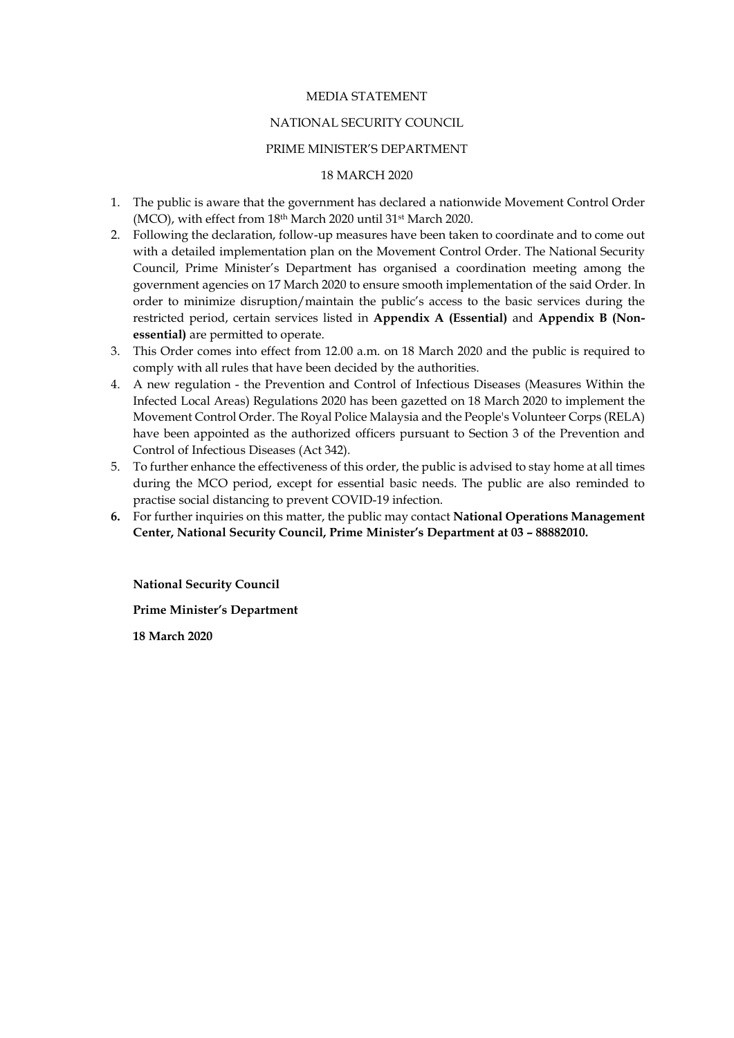### MEDIA STATEMENT

## NATIONAL SECURITY COUNCIL

## PRIME MINISTER'S DEPARTMENT

### 18 MARCH 2020

- 1. The public is aware that the government has declared a nationwide Movement Control Order (MCO), with effect from 18th March 2020 until 31st March 2020.
- 2. Following the declaration, follow-up measures have been taken to coordinate and to come out with a detailed implementation plan on the Movement Control Order. The National Security Council, Prime Minister's Department has organised a coordination meeting among the government agencies on 17 March 2020 to ensure smooth implementation of the said Order. In order to minimize disruption/maintain the public's access to the basic services during the restricted period, certain services listed in **Appendix A (Essential)** and **Appendix B (Nonessential)** are permitted to operate.
- 3. This Order comes into effect from 12.00 a.m. on 18 March 2020 and the public is required to comply with all rules that have been decided by the authorities.
- 4. A new regulation the Prevention and Control of Infectious Diseases (Measures Within the Infected Local Areas) Regulations 2020 has been gazetted on 18 March 2020 to implement the Movement Control Order. The Royal Police Malaysia and the People's Volunteer Corps (RELA) have been appointed as the authorized officers pursuant to Section 3 of the Prevention and Control of Infectious Diseases (Act 342).
- 5. To further enhance the effectiveness of this order, the public is advised to stay home at all times during the MCO period, except for essential basic needs. The public are also reminded to practise social distancing to prevent COVID-19 infection.
- **6.** For further inquiries on this matter, the public may contact **National Operations Management Center, National Security Council, Prime Minister's Department at 03 – 88882010.**

**National Security Council Prime Minister's Department 18 March 2020**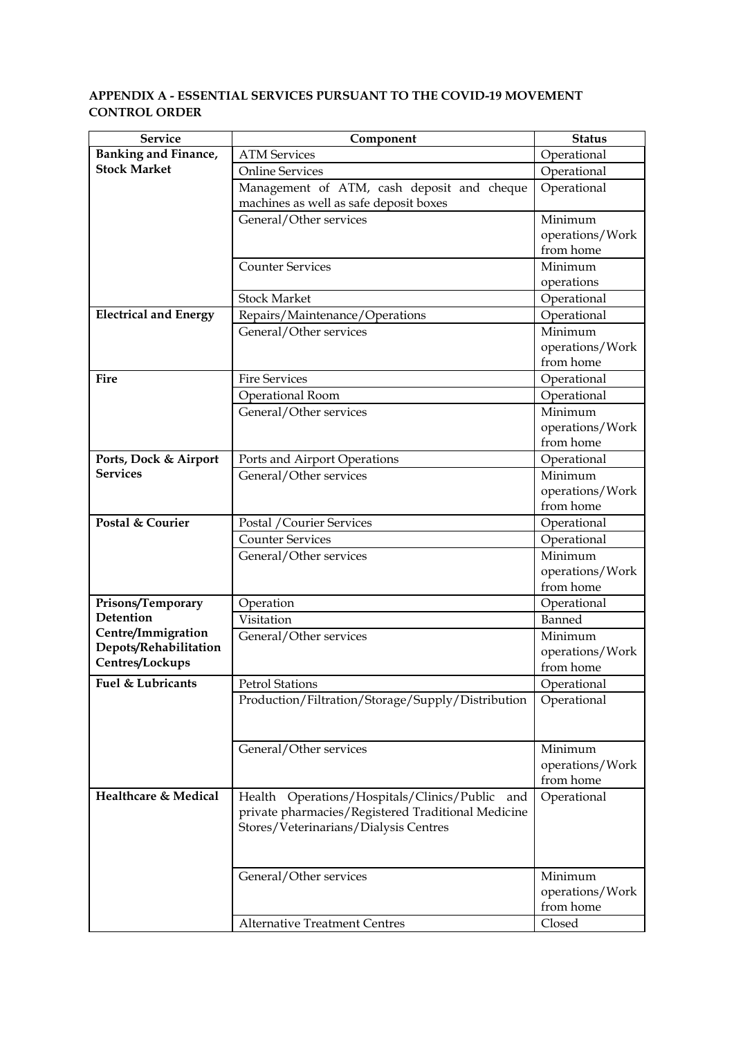# **APPENDIX A - ESSENTIAL SERVICES PURSUANT TO THE COVID-19 MOVEMENT CONTROL ORDER**

| <b>Service</b>               | Component                                          | <b>Status</b>   |
|------------------------------|----------------------------------------------------|-----------------|
| Banking and Finance,         | <b>ATM Services</b>                                | Operational     |
| <b>Stock Market</b>          | <b>Online Services</b>                             | Operational     |
|                              | Management of ATM, cash deposit and cheque         | Operational     |
|                              | machines as well as safe deposit boxes             |                 |
|                              | General/Other services                             | Minimum         |
|                              |                                                    | operations/Work |
|                              |                                                    | from home       |
|                              | <b>Counter Services</b>                            | Minimum         |
|                              |                                                    | operations      |
|                              | <b>Stock Market</b>                                | Operational     |
| <b>Electrical and Energy</b> | Repairs/Maintenance/Operations                     | Operational     |
|                              | General/Other services                             | Minimum         |
|                              |                                                    | operations/Work |
|                              |                                                    | from home       |
| Fire                         | <b>Fire Services</b>                               | Operational     |
|                              | Operational Room                                   | Operational     |
|                              | General/Other services                             | Minimum         |
|                              |                                                    | operations/Work |
|                              |                                                    | from home       |
| Ports, Dock & Airport        | Ports and Airport Operations                       | Operational     |
| <b>Services</b>              | General/Other services                             | Minimum         |
|                              |                                                    | operations/Work |
|                              |                                                    | from home       |
| Postal & Courier             | Postal / Courier Services                          | Operational     |
|                              | <b>Counter Services</b>                            | Operational     |
|                              | General/Other services                             | Minimum         |
|                              |                                                    | operations/Work |
|                              |                                                    | from home       |
| Prisons/Temporary            | Operation                                          | Operational     |
| Detention                    | Visitation                                         | Banned          |
| Centre/Immigration           | General/Other services                             | Minimum         |
| Depots/Rehabilitation        |                                                    | operations/Work |
| Centres/Lockups              |                                                    | from home       |
| Fuel & Lubricants            | <b>Petrol Stations</b>                             | Operational     |
|                              | Production/Filtration/Storage/Supply/Distribution  | Operational     |
|                              |                                                    |                 |
|                              |                                                    |                 |
|                              | General/Other services                             | Minimum         |
|                              |                                                    | operations/Work |
|                              |                                                    | from home       |
| Healthcare & Medical         | Operations/Hospitals/Clinics/Public and<br>Health  | Operational     |
|                              | private pharmacies/Registered Traditional Medicine |                 |
|                              | Stores/Veterinarians/Dialysis Centres              |                 |
|                              |                                                    |                 |
|                              |                                                    |                 |
|                              | General/Other services                             | Minimum         |
|                              |                                                    | operations/Work |
|                              |                                                    | from home       |
|                              | <b>Alternative Treatment Centres</b>               | Closed          |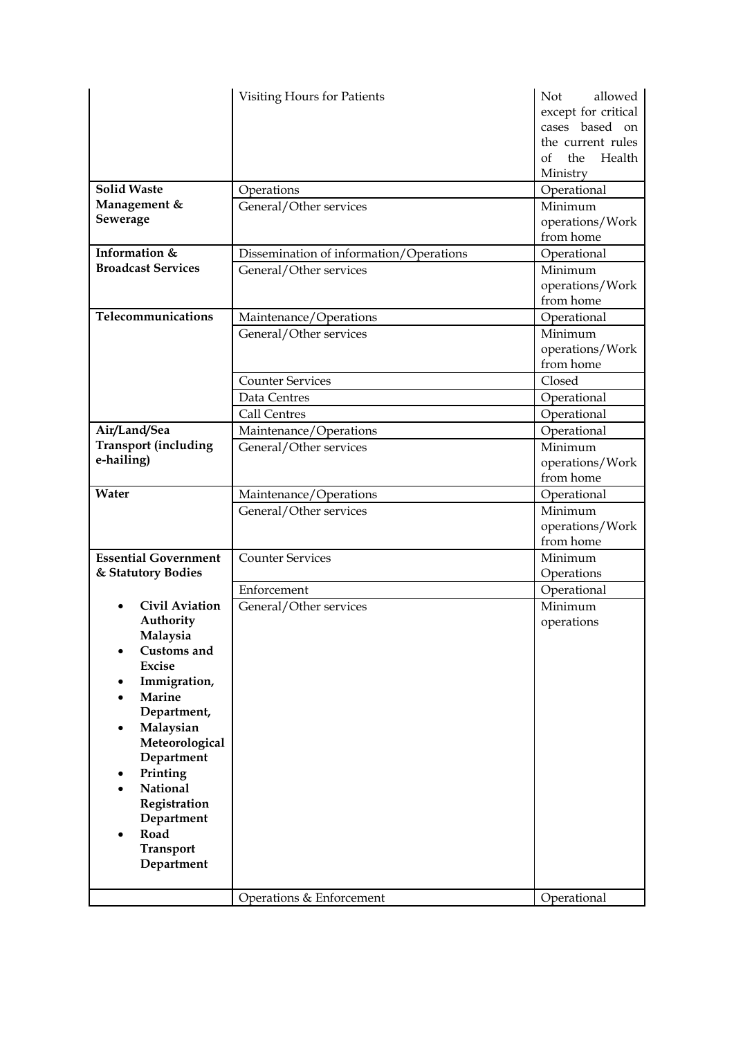| <b>Solid Waste</b><br>Management &                | <b>Visiting Hours for Patients</b><br>Operations<br>General/Other services | <b>Not</b><br>allowed<br>except for critical<br>cases based on<br>the current rules<br>Health<br>$\alpha$ f<br>the<br>Ministry<br>Operational<br>Minimum |
|---------------------------------------------------|----------------------------------------------------------------------------|----------------------------------------------------------------------------------------------------------------------------------------------------------|
| Sewerage                                          |                                                                            | operations/Work<br>from home                                                                                                                             |
| Information &                                     | Dissemination of information/Operations                                    | Operational                                                                                                                                              |
| <b>Broadcast Services</b>                         | General/Other services                                                     | Minimum<br>operations/Work<br>from home                                                                                                                  |
| Telecommunications                                | Maintenance/Operations                                                     | Operational                                                                                                                                              |
|                                                   | General/Other services                                                     | Minimum<br>operations/Work<br>from home                                                                                                                  |
|                                                   | <b>Counter Services</b>                                                    | Closed                                                                                                                                                   |
|                                                   | Data Centres                                                               | Operational                                                                                                                                              |
|                                                   | <b>Call Centres</b>                                                        | Operational                                                                                                                                              |
| Air/Land/Sea                                      | Maintenance/Operations                                                     | Operational                                                                                                                                              |
| <b>Transport (including</b><br>e-hailing)         | General/Other services                                                     | Minimum<br>operations/Work<br>from home                                                                                                                  |
| Water                                             | Maintenance/Operations                                                     | Operational                                                                                                                                              |
|                                                   | General/Other services                                                     | Minimum<br>operations/Work<br>from home                                                                                                                  |
| <b>Essential Government</b><br>& Statutory Bodies | <b>Counter Services</b>                                                    | Minimum<br>Operations                                                                                                                                    |
|                                                   | Enforcement                                                                | Operational                                                                                                                                              |
| <b>Civil Aviation</b>                             | General/Other services                                                     | Minimum                                                                                                                                                  |
| Authority                                         |                                                                            | operations                                                                                                                                               |
| Malaysia                                          |                                                                            |                                                                                                                                                          |
| Customs and                                       |                                                                            |                                                                                                                                                          |
| <b>Excise</b>                                     |                                                                            |                                                                                                                                                          |
| Immigration,<br><b>Marine</b>                     |                                                                            |                                                                                                                                                          |
| Department,                                       |                                                                            |                                                                                                                                                          |
| Malaysian                                         |                                                                            |                                                                                                                                                          |
| Meteorological                                    |                                                                            |                                                                                                                                                          |
| Department                                        |                                                                            |                                                                                                                                                          |
| Printing                                          |                                                                            |                                                                                                                                                          |
| National<br>Registration                          |                                                                            |                                                                                                                                                          |
| Department                                        |                                                                            |                                                                                                                                                          |
| Road                                              |                                                                            |                                                                                                                                                          |
| <b>Transport</b>                                  |                                                                            |                                                                                                                                                          |
| Department                                        |                                                                            |                                                                                                                                                          |
|                                                   | Operations & Enforcement                                                   | Operational                                                                                                                                              |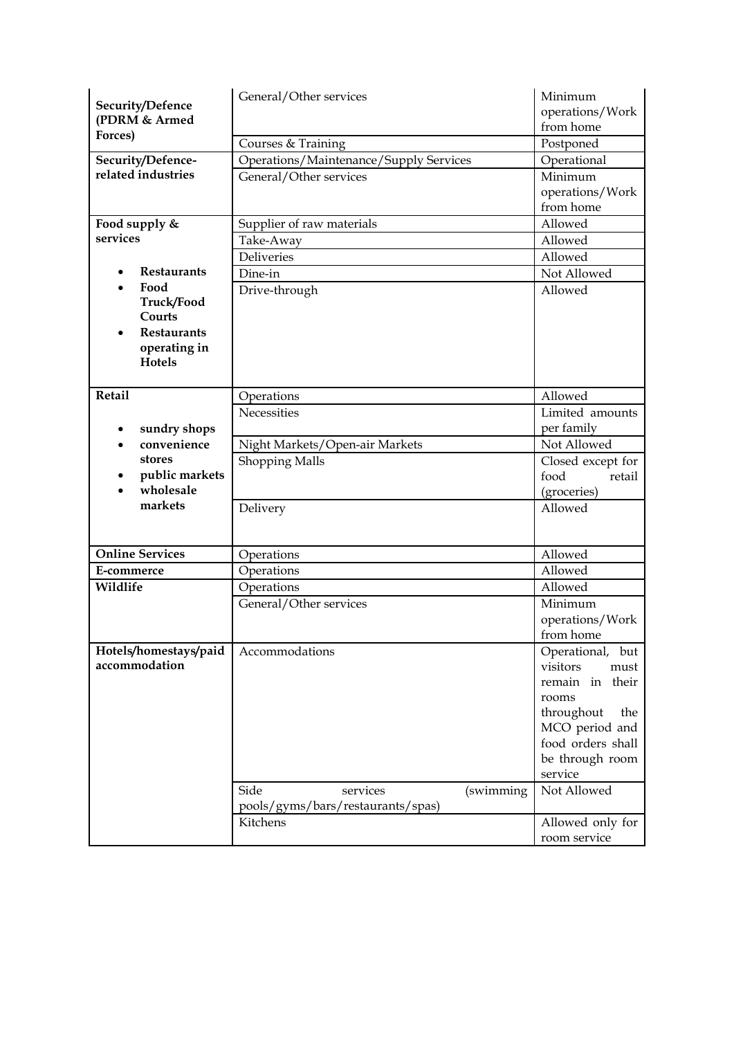| Security/Defence<br>(PDRM & Armed | General/Other services                 | Minimum<br>operations/Work<br>from home |
|-----------------------------------|----------------------------------------|-----------------------------------------|
| Forces)                           | Courses & Training                     | Postponed                               |
| Security/Defence-                 | Operations/Maintenance/Supply Services | Operational                             |
| related industries                | General/Other services                 | Minimum                                 |
|                                   |                                        | operations/Work                         |
|                                   |                                        | from home                               |
| Food supply &                     | Supplier of raw materials              | Allowed                                 |
| services                          | Take-Away                              | Allowed                                 |
|                                   | <b>Deliveries</b>                      | Allowed                                 |
| <b>Restaurants</b>                | Dine-in                                | Not Allowed                             |
| Food                              | Drive-through                          | Allowed                                 |
| Truck/Food                        |                                        |                                         |
| Courts                            |                                        |                                         |
| <b>Restaurants</b>                |                                        |                                         |
| operating in<br>Hotels            |                                        |                                         |
|                                   |                                        |                                         |
| Retail                            | Operations                             | Allowed                                 |
|                                   | Necessities                            | Limited amounts                         |
| sundry shops<br>$\bullet$         |                                        | per family                              |
| convenience                       | Night Markets/Open-air Markets         | Not Allowed                             |
| stores                            | <b>Shopping Malls</b>                  | Closed except for                       |
| public markets                    |                                        | food<br>retail                          |
| wholesale                         |                                        | (groceries)                             |
| markets                           | Delivery                               | Allowed                                 |
|                                   |                                        |                                         |
| <b>Online Services</b>            |                                        |                                         |
|                                   | Operations                             | Allowed<br>Allowed                      |
| E-commerce<br>Wildlife            | Operations                             | Allowed                                 |
|                                   | Operations                             | Minimum                                 |
|                                   | General/Other services                 | operations/Work                         |
|                                   |                                        | from home                               |
| Hotels/homestays/paid             | Accommodations                         | Operational, but                        |
| accommodation                     |                                        | visitors<br>must                        |
|                                   |                                        | remain in their                         |
|                                   |                                        | rooms                                   |
|                                   |                                        | throughout<br>the                       |
|                                   |                                        | MCO period and                          |
|                                   |                                        | food orders shall                       |
|                                   |                                        | be through room                         |
|                                   |                                        | service                                 |
|                                   | Side<br>(swimming<br>services          | Not Allowed                             |
|                                   | pools/gyms/bars/restaurants/spas)      |                                         |
|                                   | Kitchens                               | Allowed only for                        |
|                                   |                                        | room service                            |